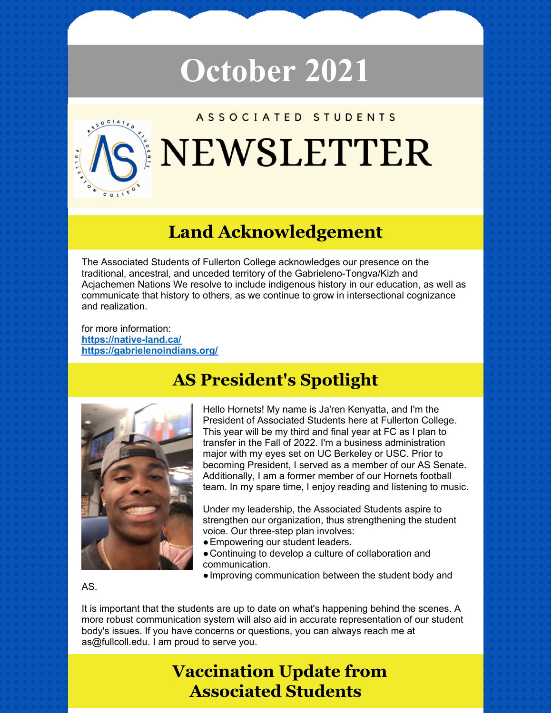# **October 2021**



# **Land Acknowledgement**

The Associated Students of Fullerton College acknowledges our presence on the traditional, ancestral, and unceded territory of the Gabrieleno-Tongva/Kizh and Acjachemen Nations We resolve to include indigenous history in our education, as well as communicate that history to others, as we continue to grow in intersectional cognizance and realization.

for more information: **<https://native-land.ca/> <https://gabrielenoindians.org/>**



## **AS President's Spotlight**

Hello Hornets! My name is Ja'ren Kenyatta, and I'm the President of Associated Students here at Fullerton College. This year will be my third and final year at FC as I plan to transfer in the Fall of 2022. I'm a business administration major with my eyes set on UC Berkeley or USC. Prior to becoming President, I served as a member of our AS Senate. Additionally, I am a former member of our Hornets football team. In my spare time, I enjoy reading and listening to music.

Under my leadership, the Associated Students aspire to strengthen our organization, thus strengthening the student voice. Our three-step plan involves:

- Empowering our student leaders.
- ●Continuing to develop a culture of collaboration and communication.
- ●Improving communication between the student body and

#### AS.

It is important that the students are up to date on what's happening behind the scenes. A more robust communication system will also aid in accurate representation of our student body's issues. If you have concerns or questions, you can always reach me at as@fullcoll.edu. I am proud to serve you.

## **Vaccination Update from Associated Students**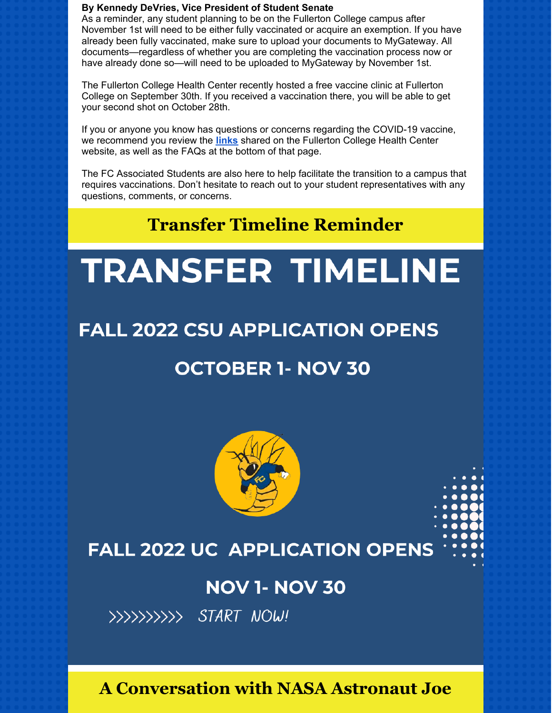#### **By Kennedy DeVries, Vice President of Student Senate**

As a reminder, any student planning to be on the Fullerton College campus after November 1st will need to be either fully vaccinated or acquire an exemption. If you have already been fully vaccinated, make sure to upload your documents to MyGateway. All documents—regardless of whether you are completing the vaccination process now or have already done so—will need to be uploaded to MyGateway by November 1st.

The Fullerton College Health Center recently hosted a free vaccine clinic at Fullerton College on September 30th. If you received a vaccination there, you will be able to get your second shot on October 28th.

If you or anyone you know has questions or concerns regarding the COVID-19 vaccine, we recommend you review the **[links](https://health.fullcoll.edu/covid19vaccine/)** shared on the Fullerton College Health Center website, as well as the FAQs at the bottom of that page.

The FC Associated Students are also here to help facilitate the transition to a campus that requires vaccinations. Don't hesitate to reach out to your student representatives with any questions, comments, or concerns.

## **Transfer Timeline Reminder**

# **TRANSFER TIMELINE**

# **FALL 2022 CSU APPLICATION OPENS**

## **OCTOBER 1- NOV 30**



# **FALL 2022 UC APPLICATION OPENS**

## **NOV 1- NOV 30**



## **A Conversation with NASA Astronaut Joe**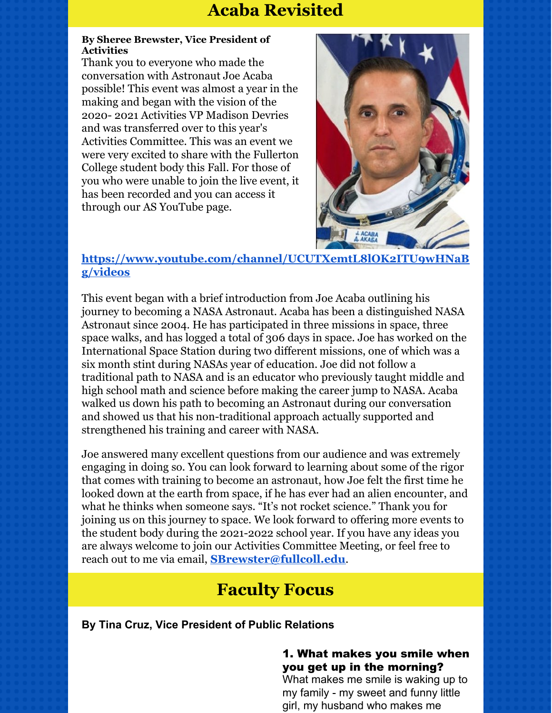## **Acaba Revisited**

#### **By Sheree Brewster, Vice President of Activities**

Thank you to everyone who made the conversation with Astronaut Joe Acaba possible! This event was almost a year in the making and began with the vision of the 2020- 2021 Activities VP Madison Devries and was transferred over to this year's Activities Committee. This was an event we were very excited to share with the Fullerton College student body this Fall. For those of you who were unable to join the live event, it has been recorded and you can access it through our AS YouTube page.



## **[https://www.youtube.com/channel/UCUTXemtL8lOK2ITU9wHNaB](https://www.youtube.com/channel/UCUTXemtL8lOK2ITU9wHNaBg/videos) g/videos**

This event began with a brief introduction from Joe Acaba outlining his journey to becoming a NASA Astronaut. Acaba has been a distinguished NASA Astronaut since 2004. He has participated in three missions in space, three space walks, and has logged a total of 306 days in space. Joe has worked on the International Space Station during two different missions, one of which was a six month stint during NASAs year of education. Joe did not follow a traditional path to NASA and is an educator who previously taught middle and high school math and science before making the career jump to NASA. Acaba walked us down his path to becoming an Astronaut during our conversation and showed us that his non-traditional approach actually supported and strengthened his training and career with NASA.

Joe answered many excellent questions from our audience and was extremely engaging in doing so. You can look forward to learning about some of the rigor that comes with training to become an astronaut, how Joe felt the first time he looked down at the earth from space, if he has ever had an alien encounter, and what he thinks when someone says. "It's not rocket science." Thank you for joining us on this journey to space. We look forward to offering more events to the student body during the 2021-2022 school year. If you have any ideas you are always welcome to join our Activities Committee Meeting, or feel free to reach out to me via email, **[SBrewster@fullcoll.edu](mailto:SBrewster@fullcoll.edu)**.

## **Faculty Focus**

**By Tina Cruz, Vice President of Public Relations**

### 1. What makes you smile when you get up in the morning?

What makes me smile is waking up to my family - my sweet and funny little girl, my husband who makes me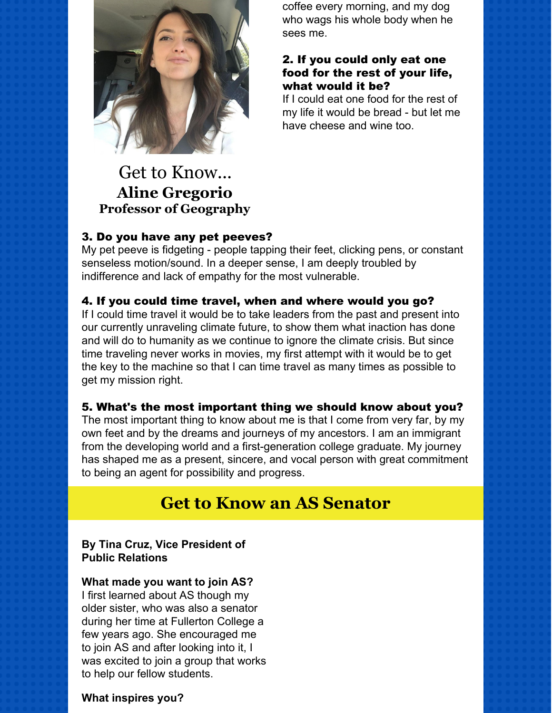

coffee every morning, and my dog who wags his whole body when he sees me.

#### 2. If you could only eat one food for the rest of your life, what would it be?

If I could eat one food for the rest of my life it would be bread - but let me have cheese and wine too.

## Get to Know... **Aline Gregorio Professor of Geography**

## 3. Do you have any pet peeves?

My pet peeve is fidgeting - people tapping their feet, clicking pens, or constant senseless motion/sound. In a deeper sense, I am deeply troubled by indifference and lack of empathy for the most vulnerable.

## 4. If you could time travel, when and where would you go?

If I could time travel it would be to take leaders from the past and present into our currently unraveling climate future, to show them what inaction has done and will do to humanity as we continue to ignore the climate crisis. But since time traveling never works in movies, my first attempt with it would be to get the key to the machine so that I can time travel as many times as possible to get my mission right.

## 5. What's the most important thing we should know about you?

The most important thing to know about me is that I come from very far, by my own feet and by the dreams and journeys of my ancestors. I am an immigrant from the developing world and a first-generation college graduate. My journey has shaped me as a present, sincere, and vocal person with great commitment to being an agent for possibility and progress.

## **Get to Know an AS Senator**

**By Tina Cruz, Vice President of Public Relations**

#### **What made you want to join AS?**

I first learned about AS though my older sister, who was also a senator during her time at Fullerton College a few years ago. She encouraged me to join AS and after looking into it, I was excited to join a group that works to help our fellow students.

#### **What inspires you?**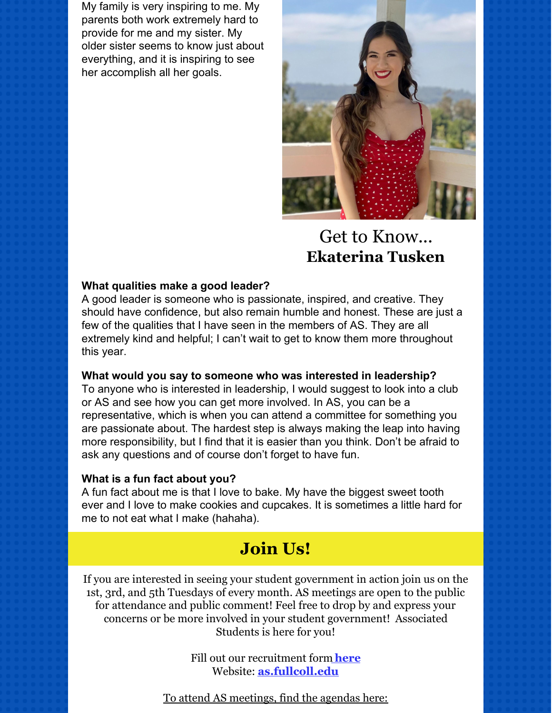My family is very inspiring to me. My parents both work extremely hard to provide for me and my sister. My older sister seems to know just about everything, and it is inspiring to see her accomplish all her goals.



## Get to Know... **Ekaterina Tusken**

#### **What qualities make a good leader?**

A good leader is someone who is passionate, inspired, and creative. They should have confidence, but also remain humble and honest. These are just a few of the qualities that I have seen in the members of AS. They are all extremely kind and helpful; I can't wait to get to know them more throughout this year.

#### **What would you say to someone who was interested in leadership?**

To anyone who is interested in leadership, I would suggest to look into a club or AS and see how you can get more involved. In AS, you can be a representative, which is when you can attend a committee for something you are passionate about. The hardest step is always making the leap into having more responsibility, but I find that it is easier than you think. Don't be afraid to ask any questions and of course don't forget to have fun.

#### **What is a fun fact about you?**

A fun fact about me is that I love to bake. My have the biggest sweet tooth ever and I love to make cookies and cupcakes. It is sometimes a little hard for me to not eat what I make (hahaha).

## **Join Us!**

If you are interested in seeing your student government in action join us on the 1st, 3rd, and 5th Tuesdays of every month. AS meetings are open to the public for attendance and public comment! Feel free to drop by and express your concerns or be more involved in your student government! Associated Students is here for you!

> Fill out our recruitment form **[here](https://forms.gle/Q1UZS7AumotKaoPM6)** Website: **[as.fullcoll.edu](http://as.fullcoll.edu)**

To attend AS meetings, find the agendas here: